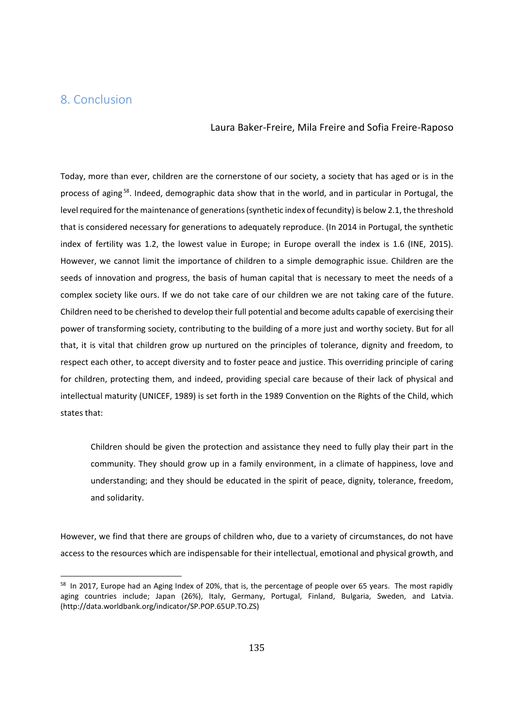## 8. Conclusion

## Laura Baker-Freire, Mila Freire and Sofia Freire-Raposo

Today, more than ever, children are the cornerstone of our society, a society that has aged or is in the process of aging 58. Indeed, demographic data show that in the world, and in particular in Portugal, the level required for the maintenance of generations (synthetic index of fecundity) is below 2.1, the threshold that is considered necessary for generations to adequately reproduce. (In 2014 in Portugal, the synthetic index of fertility was 1.2, the lowest value in Europe; in Europe overall the index is 1.6 (INE, 2015). However, we cannot limit the importance of children to a simple demographic issue. Children are the seeds of innovation and progress, the basis of human capital that is necessary to meet the needs of a complex society like ours. If we do not take care of our children we are not taking care of the future. Children need to be cherished to develop their full potential and become adults capable of exercising their power of transforming society, contributing to the building of a more just and worthy society. But for all that, it is vital that children grow up nurtured on the principles of tolerance, dignity and freedom, to respect each other, to accept diversity and to foster peace and justice. This overriding principle of caring for children, protecting them, and indeed, providing special care because of their lack of physical and intellectual maturity (UNICEF, 1989) is set forth in the 1989 Convention on the Rights of the Child, which states that:

Children should be given the protection and assistance they need to fully play their part in the community. They should grow up in a family environment, in a climate of happiness, love and understanding; and they should be educated in the spirit of peace, dignity, tolerance, freedom, and solidarity.

However, we find that there are groups of children who, due to a variety of circumstances, do not have access to the resources which are indispensable for their intellectual, emotional and physical growth, and

<sup>&</sup>lt;sup>58</sup> In 2017, Europe had an Aging Index of 20%, that is, the percentage of people over 65 years. The most rapidly aging countries include; Japan (26%), Italy, Germany, Portugal, Finland, Bulgaria, Sweden, and Latvia. (http://data.worldbank.org/indicator/SP.POP.65UP.TO.ZS)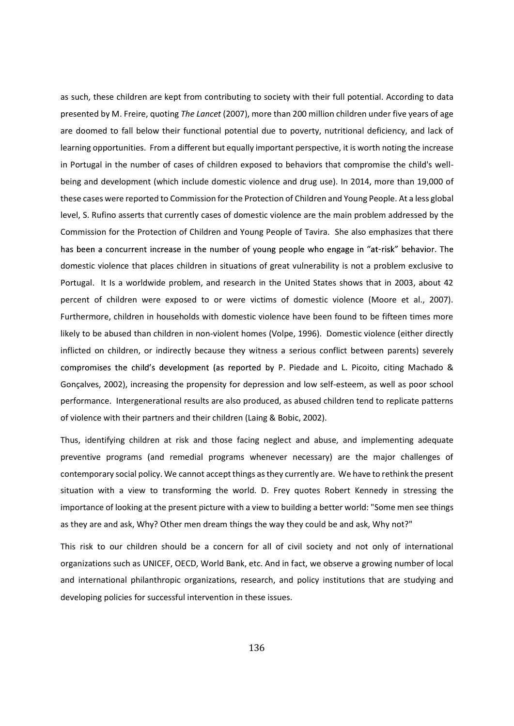as such, these children are kept from contributing to society with their full potential. According to data presented by M. Freire, quoting The Lancet (2007), more than 200 million children under five years of age are doomed to fall below their functional potential due to poverty, nutritional deficiency, and lack of learning opportunities. From a different but equally important perspective, it is worth noting the increase in Portugal in the number of cases of children exposed to behaviors that compromise the child's wellbeing and development (which include domestic violence and drug use). In 2014, more than 19,000 of these cases were reported to Commission for the Protection of Children and Young People. At a less global level, S. Rufino asserts that currently cases of domestic violence are the main problem addressed by the Commission for the Protection of Children and Young People of Tavira. She also emphasizes that there<br>has been a concurrent increase in the number of young people who engage in "at-risk" behavior. The domestic violence that places children in situations of great vulnerability is not a problem exclusive to Portugal. It Is a worldwide problem, and research in the United States shows that in 2003, about 42 percent of children were exposed to or were victims of domestic violence (Moore et al., 2007). Furthermore, children in households with domestic violence have been found to be fifteen times more likely to be abused than children in non-violent homes (Volpe, 1996). Domestic violence (either directly inflicted on children, or indirectly because they witness a serious conflict between parents) severely compromises the child's development (as reported by P. Piedade and L. Picoito, citing Machado & Gonçalves, 2002), increasing the propensity for depression and low self-esteem, as well as poor school performance. Intergenerational results are also produced, as abused children tend to replicate patterns of violence with their partners and their children (Laing & Bobic, 2002).

Thus, identifying children at risk and those facing neglect and abuse, and implementing adequate preventive programs (and remedial programs whenever necessary) are the major challenges of contemporary social policy. We cannot accept things as they currently are. We have to rethink the present situation with a view to transforming the world. D. Frey quotes Robert Kennedy in stressing the importance of looking at the present picture with a view to building a better world: "Some men see things as they are and ask, Why? Other men dream things the way they could be and ask, Why not?"

This risk to our children should be a concern for all of civil society and not only of international organizations such as UNICEF, OECD, World Bank, etc. And in fact, we observe a growing number of local and international philanthropic organizations, research, and policy institutions that are studying and developing policies for successful intervention in these issues.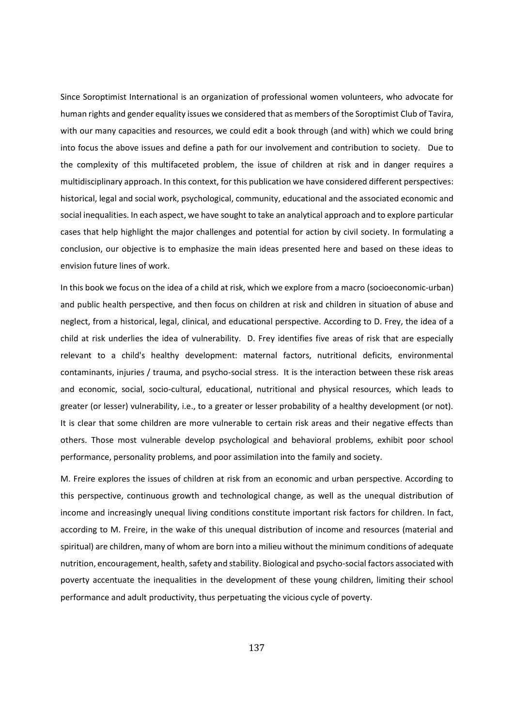Since Soroptimist International is an organization of professional women volunteers, who advocate for human rights and gender equality issues we considered that as members of the Soroptimist Club of Tavira, with our many capacities and resources, we could edit a book through (and with) which we could bring into focus the above issues and define a path for our involvement and contribution to society. Due to the complexity of this multifaceted problem, the issue of children at risk and in danger requires a multidisciplinary approach. In this context, for this publication we have considered different perspectives: historical, legal and social work, psychological, community, educational and the associated economic and social inequalities. In each aspect, we have sought to take an analytical approach and to explore particular cases that help highlight the major challenges and potential for action by civil society. In formulating a conclusion, our objective is to emphasize the main ideas presented here and based on these ideas to envision future lines of work.

In this book we focus on the idea of a child at risk, which we explore from a macro (socioeconomic-urban) and public health perspective, and then focus on children at risk and children in situation of abuse and neglect, from a historical, legal, clinical, and educational perspective. According to D. Frey, the idea of a child at risk underlies the idea of vulnerability. D. Frey identifies five areas of risk that are especially relevant to a child's healthy development: maternal factors, nutritional deficits, environmental contaminants, injuries / trauma, and psycho-social stress. It is the interaction between these risk areas and economic, social, socio-cultural, educational, nutritional and physical resources, which leads to greater (or lesser) vulnerability, i.e., to a greater or lesser probability of a healthy development (or not). It is clear that some children are more vulnerable to certain risk areas and their negative effects than others. Those most vulnerable develop psychological and behavioral problems, exhibit poor school performance, personality problems, and poor assimilation into the family and society.

M. Freire explores the issues of children at risk from an economic and urban perspective. According to this perspective, continuous growth and technological change, as well as the unequal distribution of income and increasingly unequal living conditions constitute important risk factors for children. In fact, according to M. Freire, in the wake of this unequal distribution of income and resources (material and spiritual) are children, many of whom are born into a milieu without the minimum conditions of adequate nutrition, encouragement, health, safety and stability. Biological and psycho-social factors associated with poverty accentuate the inequalities in the development of these young children, limiting their school performance and adult productivity, thus perpetuating the vicious cycle of poverty.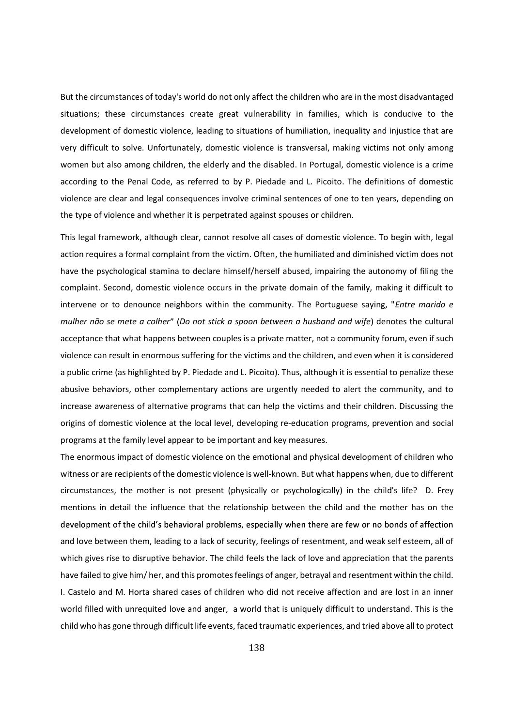But the circumstances of today's world do not only affect the children who are in the most disadvantaged situations; these circumstances create great vulnerability in families, which is conducive to the development of domestic violence, leading to situations of humiliation, inequality and injustice that are very difficult to solve. Unfortunately, domestic violence is transversal, making victims not only among women but also among children, the elderly and the disabled. In Portugal, domestic violence is a crime according to the Penal Code, as referred to by P. Piedade and L. Picoito. The definitions of domestic violence are clear and legal consequences involve criminal sentences of one to ten years, depending on the type of violence and whether it is perpetrated against spouses or children.

This legal framework, although clear, cannot resolve all cases of domestic violence. To begin with, legal action requires a formal complaint from the victim. Often, the humiliated and diminished victim does not have the psychological stamina to declare himself/herself abused, impairing the autonomy of filing the complaint. Second, domestic violence occurs in the private domain of the family, making it difficult to intervene or to denounce neighbors within the community. The Portuguese saying, "Entre marido e mulher não se mete a colher" (Do not stick a spoon between a husband and wife) denotes the cultural acceptance that what happens between couples is a private matter, not a community forum, even if such violence can result in enormous suffering for the victims and the children, and even when it is considered a public crime (as highlighted by P. Piedade and L. Picoito). Thus, although it is essential to penalize these abusive behaviors, other complementary actions are urgently needed to alert the community, and to increase awareness of alternative programs that can help the victims and their children. Discussing the origins of domestic violence at the local level, developing re-education programs, prevention and social programs at the family level appear to be important and key measures.

The enormous impact of domestic violence on the emotional and physical development of children who witness or are recipients of the domestic violence is well-known. But what happens when, due to different circumstances, the mother is not present (physically or psychologically) in the child's life? D. Frey mentions in detail the influence that the relationship between the child and the mother has on the development of the child's behavioral problems, especially when there are few or no bonds of affection and love between them, leading to a lack of security, feelings of resentment, and weak self esteem, all of which gives rise to disruptive behavior. The child feels the lack of love and appreciation that the parents have failed to give him/ her, and this promotes feelings of anger, betrayal and resentment within the child. I. Castelo and M. Horta shared cases of children who did not receive affection and are lost in an inner world filled with unrequited love and anger, a world that is uniquely difficult to understand. This is the child who has gone through difficult life events, faced traumatic experiences, and tried above all to protect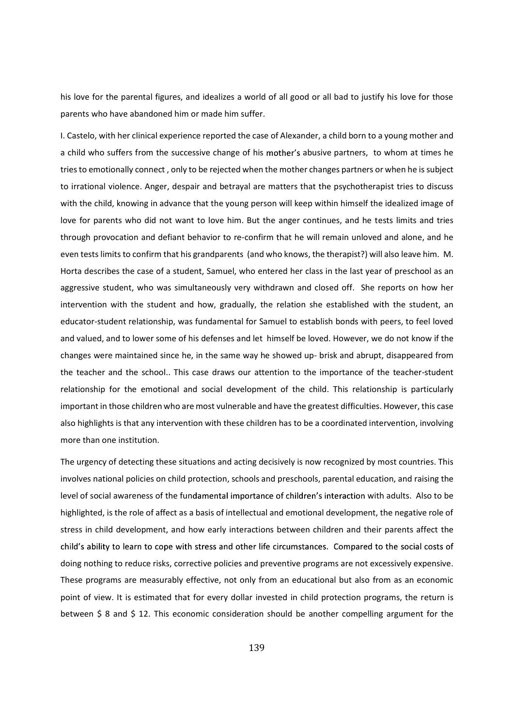his love for the parental figures, and idealizes a world of all good or all bad to justify his love for those parents who have abandoned him or made him suffer.

I. Castelo, with her clinical experience reported the case of Alexander, a child born to a young mother and a child who suffers from the successive change of his mother's abusive partners, to whom at times he tries to emotionally connect , only to be rejected when the mother changes partners or when he is subject to irrational violence. Anger, despair and betrayal are matters that the psychotherapist tries to discuss with the child, knowing in advance that the young person will keep within himself the idealized image of love for parents who did not want to love him. But the anger continues, and he tests limits and tries through provocation and defiant behavior to re-confirm that he will remain unloved and alone, and he even tests limits to confirm that his grandparents (and who knows, the therapist?) will also leave him. M. Horta describes the case of a student, Samuel, who entered her class in the last year of preschool as an aggressive student, who was simultaneously very withdrawn and closed off. She reports on how her intervention with the student and how, gradually, the relation she established with the student, an educator-student relationship, was fundamental for Samuel to establish bonds with peers, to feel loved and valued, and to lower some of his defenses and let himself be loved. However, we do not know if the changes were maintained since he, in the same way he showed up- brisk and abrupt, disappeared from the teacher and the school.. This case draws our attention to the importance of the teacher-student relationship for the emotional and social development of the child. This relationship is particularly important in those children who are most vulnerable and have the greatest difficulties. However, this case also highlights is that any intervention with these children has to be a coordinated intervention, involving more than one institution.

The urgency of detecting these situations and acting decisively is now recognized by most countries. This involves national policies on child protection, schools and preschools, parental education, and raising the level of social awareness of the fundamental importance of children's interaction with adults. Also to be highlighted, is the role of affect as a basis of intellectual and emotional development, the negative role of stress in child development, and how early interactions between children and their parents affect the child's ability to learn to cope with stress and other life circumstances. Compared to the social costs of doing nothing to reduce risks, corrective policies and preventive programs are not excessively expensive. These programs are measurably effective, not only from an educational but also from as an economic point of view. It is estimated that for every dollar invested in child protection programs, the return is between \$ 8 and \$ 12. This economic consideration should be another compelling argument for the